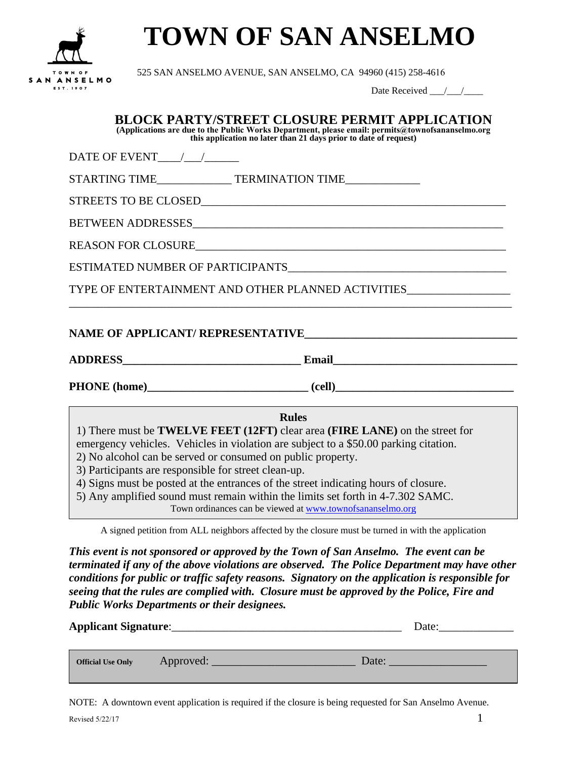

## **TOWN OF SAN ANSELMO**

525 SAN ANSELMO AVENUE, SAN ANSELMO, CA 94960 (415) 258-4616

Date Received  $\frac{1}{\sqrt{2}}$ 

| <b>BLOCK PARTY/STREET CLOSURE PERMIT APPLICATION</b><br>(Applications are due to the Public Works Department, please email: permits@townofsananselmo.org<br>this application no later than 21 days prior to date of request)                                                                                                                                                                                                                                                                                                                                       |  |  |  |  |
|--------------------------------------------------------------------------------------------------------------------------------------------------------------------------------------------------------------------------------------------------------------------------------------------------------------------------------------------------------------------------------------------------------------------------------------------------------------------------------------------------------------------------------------------------------------------|--|--|--|--|
| DATE OF EVENT / /                                                                                                                                                                                                                                                                                                                                                                                                                                                                                                                                                  |  |  |  |  |
| STARTING TIME TERMINATION TIME                                                                                                                                                                                                                                                                                                                                                                                                                                                                                                                                     |  |  |  |  |
|                                                                                                                                                                                                                                                                                                                                                                                                                                                                                                                                                                    |  |  |  |  |
|                                                                                                                                                                                                                                                                                                                                                                                                                                                                                                                                                                    |  |  |  |  |
| REASON FOR CLOSURE                                                                                                                                                                                                                                                                                                                                                                                                                                                                                                                                                 |  |  |  |  |
| ESTIMATED NUMBER OF PARTICIPANTS                                                                                                                                                                                                                                                                                                                                                                                                                                                                                                                                   |  |  |  |  |
| TYPE OF ENTERTAINMENT AND OTHER PLANNED ACTIVITIES                                                                                                                                                                                                                                                                                                                                                                                                                                                                                                                 |  |  |  |  |
| NAME OF APPLICANT/ REPRESENTATIVE                                                                                                                                                                                                                                                                                                                                                                                                                                                                                                                                  |  |  |  |  |
| <b>Rules</b><br>1) There must be <b>TWELVE FEET</b> (12FT) clear area ( <b>FIRE LANE</b> ) on the street for<br>emergency vehicles. Vehicles in violation are subject to a \$50.00 parking citation.<br>2) No alcohol can be served or consumed on public property.<br>3) Participants are responsible for street clean-up.<br>4) Signs must be posted at the entrances of the street indicating hours of closure.<br>5) Any amplified sound must remain within the limits set forth in 4-7.302 SAMC.<br>Town ordinances can be viewed at www.townofsananselmo.org |  |  |  |  |
| A signed petition from ALL neighbors affected by the closure must be turned in with the application                                                                                                                                                                                                                                                                                                                                                                                                                                                                |  |  |  |  |
| This event is not sponsored or approved by the Town of San Anselmo. The event can be<br>terminated if any of the above violations are observed. The Police Department may have other<br>conditions for public or traffic safety reasons. Signatory on the application is responsible for<br>seeing that the rules are complied with. Closure must be approved by the Police, Fire and                                                                                                                                                                              |  |  |  |  |

| <b>Applicant Signature:</b> |           | Date: |  |
|-----------------------------|-----------|-------|--|
| <b>Official Use Only</b>    | Approved: | Date: |  |

NOTE: A downtown event application is required if the closure is being requested for San Anselmo Avenue.

*Public Works Departments or their designees.*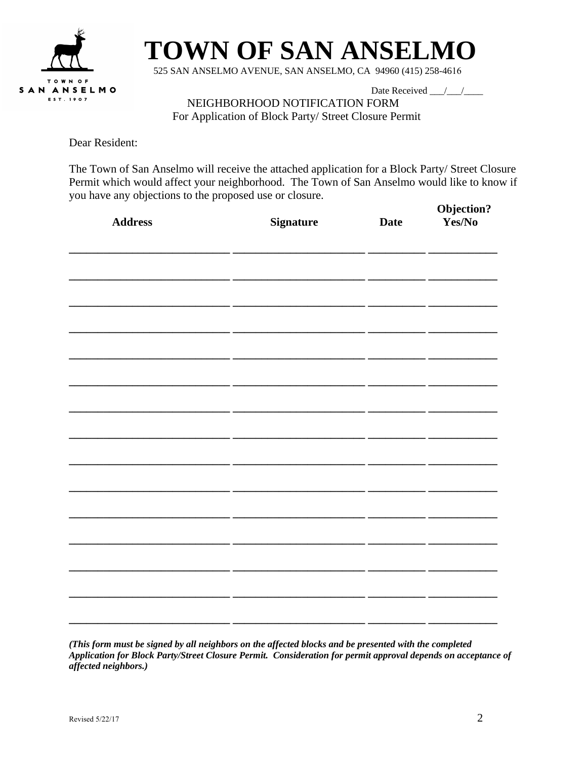

## **TOWN OF SAN ANSELMO**

525 SAN ANSELMO AVENUE, SAN ANSELMO, CA 94960 (415) 258-4616

Date Received / /

NEIGHBORHOOD NOTIFICATION FORM For Application of Block Party/ Street Closure Permit

Dear Resident:

The Town of San Anselmo will receive the attached application for a Block Party/ Street Closure Permit which would affect your neighborhood. The Town of San Anselmo would like to know if you have any objections to the proposed use or closure.

| $\mathbf{r}$<br>$\mathbf{r}$<br><b>Address</b> | <b>Signature</b> | <b>Date</b> | Objection?<br>Yes/No |
|------------------------------------------------|------------------|-------------|----------------------|
|                                                |                  |             |                      |
|                                                |                  |             |                      |
|                                                |                  |             |                      |
|                                                |                  |             |                      |
|                                                |                  |             |                      |
|                                                |                  |             |                      |
|                                                |                  |             |                      |
|                                                |                  |             |                      |
|                                                |                  |             |                      |
|                                                |                  |             |                      |
|                                                |                  |             |                      |

*(This form must be signed by all neighbors on the affected blocks and be presented with the completed Application for Block Party/Street Closure Permit. Consideration for permit approval depends on acceptance of affected neighbors.)*